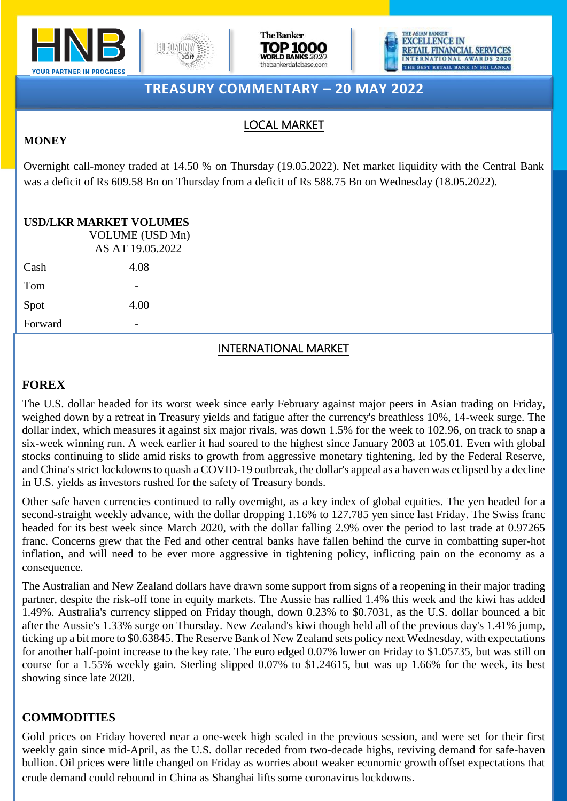







# **TREASURY COMMENTARY – 20 MAY 2022**

## LOCAL MARKET

### **MONEY**

Overnight call-money traded at 14.50 % on Thursday (19.05.2022). Net market liquidity with the Central Bank was a deficit of Rs 609.58 Bn on Thursday from a deficit of Rs 588.75 Bn on Wednesday (18.05.2022).

### **USD/LKR MARKET VOLUMES**

VOLUME (USD Mn) AS AT 19.05.2022 Cash 4.08 Tom Spot 4.00 **Forward** 

# INTERNATIONAL MARKET

# **FOREX**

The U.S. dollar headed for its worst week since early February against major peers in Asian trading on Friday, weighed down by a retreat in Treasury yields and fatigue after the currency's breathless 10%, 14-week surge. The dollar index, which measures it against six major rivals, was down 1.5% for the week to 102.96, on track to snap a six-week winning run. A week earlier it had soared to the highest since January 2003 at 105.01. Even with global stocks continuing to slide amid risks to growth from aggressive monetary tightening, led by the Federal Reserve, and China's strict lockdowns to quash a COVID-19 outbreak, the dollar's appeal as a haven was eclipsed by a decline in U.S. yields as investors rushed for the safety of Treasury bonds.

Other safe haven currencies continued to rally overnight, as a key index of global equities. The yen headed for a second-straight weekly advance, with the dollar dropping 1.16% to 127.785 yen since last Friday. The Swiss franc headed for its best week since March 2020, with the dollar falling 2.9% over the period to last trade at 0.97265 franc. Concerns grew that the Fed and other central banks have fallen behind the curve in combatting super-hot inflation, and will need to be ever more aggressive in tightening policy, inflicting pain on the economy as a consequence.

The Australian and New Zealand dollars have drawn some support from signs of a reopening in their major trading partner, despite the risk-off tone in equity markets. The Aussie has rallied 1.4% this week and the kiwi has added 1.49%. Australia's currency slipped on Friday though, down 0.23% to \$0.7031, as the U.S. dollar bounced a bit after the Aussie's 1.33% surge on Thursday. New Zealand's kiwi though held all of the previous day's 1.41% jump, ticking up a bit more to \$0.63845. The Reserve Bank of New Zealand sets policy next Wednesday, with expectations for another half-point increase to the key rate. The euro edged 0.07% lower on Friday to \$1.05735, but was still on course for a 1.55% weekly gain. Sterling slipped 0.07% to \$1.24615, but was up 1.66% for the week, its best showing since late 2020.

## **COMMODITIES**

weekly gain since mid-April, as the U.S. dollar receded from two-decade highs, reviving demand for safe-haven Gold prices on Friday hovered near a one-week high scaled in the previous session, and were set for their first bullion. Oil prices were little changed on Friday as worries about weaker economic growth offset expectations that crude demand could rebound in China as Shanghai lifts some coronavirus lockdowns.